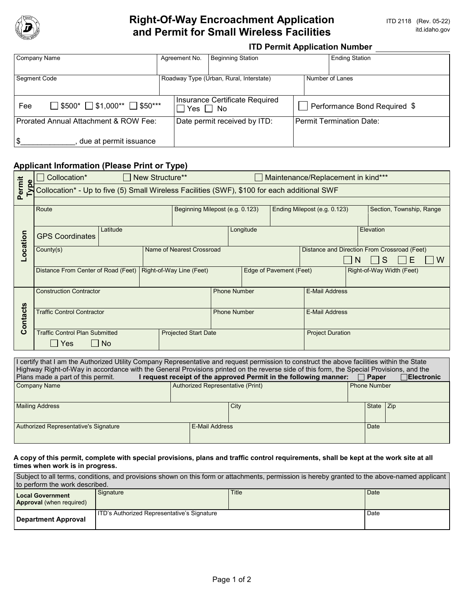

# **Right-Of-Way Encroachment Application**<br>**And Permit for Small Wireless Facilities ITD 2118** (Rev. 05-22) and Permit for Small Wireless Facilities

## **ITD Permit Application Number**

| Company Name                                         |  | Agreement No.                | <b>Beginning Station</b>                               |                          | <b>Ending Station</b>        |  |  |
|------------------------------------------------------|--|------------------------------|--------------------------------------------------------|--------------------------|------------------------------|--|--|
|                                                      |  |                              |                                                        |                          |                              |  |  |
| <b>Segment Code</b>                                  |  |                              | Roadway Type (Urban, Rural, Interstate)                | Number of Lanes          |                              |  |  |
|                                                      |  |                              |                                                        |                          |                              |  |  |
| $\Box$ \$500* $\Box$ \$1,000** $\Box$ \$50***<br>Fee |  |                              | Insurance Certificate Required<br>$\Box$ Yes $\Box$ No |                          | Performance Bond Required \$ |  |  |
| Prorated Annual Attachment & ROW Fee:                |  | Date permit received by ITD: |                                                        | Permit Termination Date: |                              |  |  |
|                                                      |  |                              |                                                        |                          |                              |  |  |
| \$<br>due at permit issuance                         |  |                              |                                                        |                          |                              |  |  |

## **Applicant Information (Please Print or Type)**

| Collocation* - Up to five (5) Small Wireless Facilities (SWF), \$100 for each additional SWF<br>Beginning Milepost (e.g. 0.123)<br>Ending Milepost (e.g. 0.123)<br>Section, Township, Range |
|---------------------------------------------------------------------------------------------------------------------------------------------------------------------------------------------|
|                                                                                                                                                                                             |
|                                                                                                                                                                                             |
|                                                                                                                                                                                             |
|                                                                                                                                                                                             |
| Longitude<br>Elevation                                                                                                                                                                      |
|                                                                                                                                                                                             |
| Distance and Direction From Crossroad (Feet)                                                                                                                                                |
| S<br>Е<br>W                                                                                                                                                                                 |
| Edge of Pavement (Feet)<br>Right-of-Way Width (Feet)                                                                                                                                        |
|                                                                                                                                                                                             |
| <b>Phone Number</b><br><b>E-Mail Address</b>                                                                                                                                                |
|                                                                                                                                                                                             |
| <b>Phone Number</b><br><b>E-Mail Address</b>                                                                                                                                                |
|                                                                                                                                                                                             |
| <b>Project Duration</b>                                                                                                                                                                     |
|                                                                                                                                                                                             |
|                                                                                                                                                                                             |

| I certify that I am the Authorized Utility Company Representative and request permission to construct the above facilities within the State                                                                                                                                          |                                   |      |           |                     |  |  |
|--------------------------------------------------------------------------------------------------------------------------------------------------------------------------------------------------------------------------------------------------------------------------------------|-----------------------------------|------|-----------|---------------------|--|--|
| Highway Right-of-Way in accordance with the General Provisions printed on the reverse side of this form, the Special Provisions, and the<br>I request receipt of the approved Permit in the following manner:<br>Plans made a part of this permit.<br>$\sqcap$ Electronic<br>  Paper |                                   |      |           |                     |  |  |
| <b>Company Name</b>                                                                                                                                                                                                                                                                  | Authorized Representative (Print) |      |           | <b>Phone Number</b> |  |  |
|                                                                                                                                                                                                                                                                                      |                                   |      |           |                     |  |  |
| <b>Mailing Address</b>                                                                                                                                                                                                                                                               |                                   | City | State Zip |                     |  |  |
|                                                                                                                                                                                                                                                                                      |                                   |      |           |                     |  |  |
| Authorized Representative's Signature<br><b>E-Mail Address</b>                                                                                                                                                                                                                       |                                   |      | Date      |                     |  |  |
|                                                                                                                                                                                                                                                                                      |                                   |      |           |                     |  |  |

### **A copy of this permit, complete with special provisions, plans and traffic control requirements, shall be kept at the work site at all times when work is in progress.**

| Subject to all terms, conditions, and provisions shown on this form or attachments, permission is hereby granted to the above-named applicant |                                                    |       |      |  |  |  |
|-----------------------------------------------------------------------------------------------------------------------------------------------|----------------------------------------------------|-------|------|--|--|--|
| to perform the work described.                                                                                                                |                                                    |       |      |  |  |  |
| Local Government<br><b>Approval</b> (when required)                                                                                           | Signature                                          | Title | Date |  |  |  |
| Department Approval                                                                                                                           | <b>ITD's Authorized Representative's Signature</b> |       | Date |  |  |  |